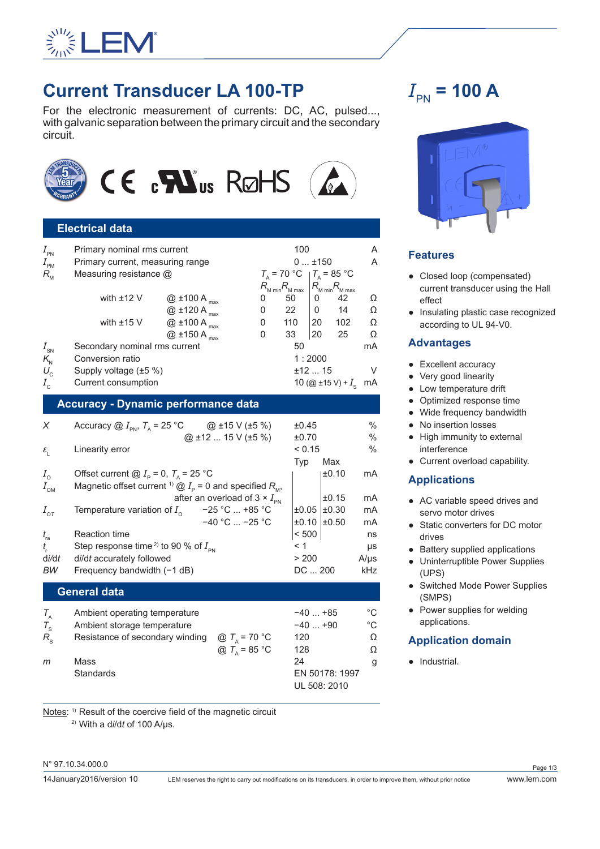

## **Current Transducer LA 100-TP**

For the electronic measurement of currents: DC, AC, pulsed..., with galvanic separation between the primary circuit and the secondary circuit.



## **Electrical data**

| $I_{\tiny{\sf PN}}$              | Primary nominal rms current      |                     |  |         | 100                                |          |                                    | A<br>A |
|----------------------------------|----------------------------------|---------------------|--|---------|------------------------------------|----------|------------------------------------|--------|
| $I_{\scriptscriptstyle{\sf PM}}$ | Primary current, measuring range |                     |  | $0+150$ |                                    |          |                                    |        |
| $R_{\scriptscriptstyle M}$       | Measuring resistance @           |                     |  |         | $T_{\rm A}$ = 70 °C                |          | $T_{\rm A}$ = 85 °C                |        |
|                                  |                                  |                     |  |         | $R_{\text{M min}}R_{\text{M max}}$ |          | $R_{\text{M min}}R_{\text{M max}}$ |        |
|                                  | with $±12$ V                     | $@$ ±100 A $_{max}$ |  | 0       | 50                                 | 0        | 42                                 | Ω      |
|                                  |                                  | $@$ ±120 A $_{max}$ |  | 0       | 22                                 | $\Omega$ | 14                                 | Ω      |
|                                  | with $±15$ V                     | $@$ ±100 A $_{max}$ |  | 0       | 110                                | 20       | 102                                | Ω      |
|                                  |                                  | $@$ ±150 A $_{max}$ |  | 0       | 33                                 | 20       | 25                                 | Ω      |
| $I_{\rm SN}$                     | Secondary nominal rms current    |                     |  |         | 50                                 |          |                                    | mA     |
| $K_{\rm N}$                      | Conversion ratio                 |                     |  |         |                                    | 1:2000   |                                    |        |
| $U_{\rm c}$                      | Supply voltage (±5 %)            |                     |  |         |                                    | $±12$ 15 |                                    |        |
| $I_{\rm c}$                      | Current consumption              |                     |  |         |                                    |          | 10 (@ ±15 V) + $I_c$               | mA     |

#### **Accuracy - Dynamic performance data**

| X                     | Accuracy $\textcircled{a}$ $I_{\text{PN}}$ , $T_{\text{A}}$ = 25 °C                                       | @ ±15 V (±5 %)                                | ±0.45    |               | $\%$          |
|-----------------------|-----------------------------------------------------------------------------------------------------------|-----------------------------------------------|----------|---------------|---------------|
|                       |                                                                                                           | $@$ ±12  15 V (±5 %)                          | ±0.70    |               | $\%$          |
| $\varepsilon_{\rm r}$ | Linearity error                                                                                           |                                               | < 0.15   |               | $\frac{0}{0}$ |
|                       |                                                                                                           |                                               | Typ      | Max           |               |
| $I_{\circ}$           | Offset current @ $I_p = 0$ , $T_a = 25$ °C                                                                |                                               |          | ±0.10         | mA            |
| $I_{\text{OM}}$       | Magnetic offset current <sup>1)</sup> $\textcircled{2}$ $I_{\text{p}}$ = 0 and specified $R_{\text{M}}$ , |                                               |          |               |               |
|                       |                                                                                                           | after an overload of $3 \times I_{\text{PN}}$ |          | ±0.15         | mA            |
| $I_{\text{O}T}$       | Temperature variation of $I_0$ -25 °C  +85 °C                                                             |                                               | ±0.05    | ±0.30         | mA            |
|                       |                                                                                                           | $-40$ °C $\ldots$ -25 °C                      |          | $±0.10$ ±0.50 | mA            |
| $t_{\rm ra}$          | <b>Reaction time</b>                                                                                      |                                               | < 500    |               | ns            |
| $t_{\rm r}$           | Step response time <sup>2)</sup> to 90 % of $I_{\text{pN}}$                                               |                                               |          |               | $\mu s$       |
| di/dt                 | di/dt accurately followed                                                                                 |                                               | > 200    |               | $A/\mu s$     |
| ВW                    | Frequency bandwidth $(-1 dB)$                                                                             |                                               | DC  200  |               | kHz           |
|                       | <b>General data</b>                                                                                       |                                               |          |               |               |
| $T_{\rm A}$           | Ambient operating temperature                                                                             |                                               | $-40+85$ |               | $^{\circ}C$   |
| $T_{\rm s}$           | Ambient storage temperature                                                                               |                                               | $-40+90$ |               | $^{\circ}$ C  |
| $R_{\rm s}$           | Resistance of secondary winding                                                                           | @ $T_a$ = 70 °C                               | 120      |               | Ω             |
|                       |                                                                                                           | @ $T_{\text{A}}$ = 85 °C                      | 128      |               | Ω             |
| m                     | Mass                                                                                                      |                                               | 24       |               | g             |

Standards EN 50178: 1997

Notes: 1) Result of the coercive field of the magnetic circuit

2) With a d*i*/d*t* of 100 A/µs.

N° 97.10.34.000.0

UL 508: 2010

# $I_{\rm PN}$  = 100 A



## **Features**

- Closed loop (compensated) current transducer using the Hall effect
- Insulating plastic case recognized according to UL 94-V0.

### **Advantages**

- Excellent accuracy
- Very good linearity
- Low temperature drift
- Optimized response time
- Wide frequency bandwidth
- No insertion losses
- High immunity to external interference
- Current overload capability.

## **Applications**

- AC variable speed drives and servo motor drives
- Static converters for DC motor drives
- Battery supplied applications
- Uninterruptible Power Supplies (UPS)
- Switched Mode Power Supplies (SMPS)
- Power supplies for welding applications.

## **Application domain**

● Industrial.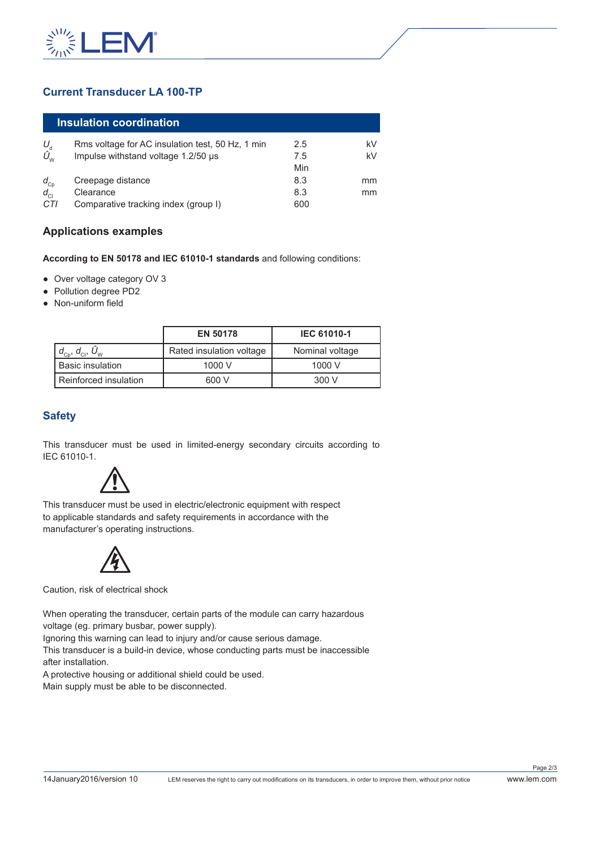

## **Current Transducer LA 100-TP**

| Insulation coordination                                       |                                                  |     |    |
|---------------------------------------------------------------|--------------------------------------------------|-----|----|
| $U_{\rm d}$                                                   | Rms voltage for AC insulation test, 50 Hz, 1 min | 2.5 | kV |
| $\hat{U}_{_{\text{\tiny W}}}$                                 | Impulse withstand voltage 1.2/50 µs              | 7.5 | kV |
|                                                               |                                                  | Min |    |
|                                                               | Creepage distance                                | 8.3 | mm |
| $\begin{array}{c} d_{\text{cp}} \\ d_{\text{cl}} \end{array}$ | Clearance                                        | 8.3 | mm |
| CTI                                                           | Comparative tracking index (group I)             | 600 |    |

### **Applications examples**

**According to EN 50178 and IEC 61010-1 standards** and following conditions:

- Over voltage category OV 3
- Pollution degree PD2
- Non-uniform field

|                                                                                                            | <b>EN 50178</b>          | <b>IEC 61010-1</b> |  |  |
|------------------------------------------------------------------------------------------------------------|--------------------------|--------------------|--|--|
| $\mid$ $d_{_{\rm CD}}^{\phantom{\dag}},$ $d_{_{\rm CI}}^{\phantom{\dag}},$ $U_{_{\rm W}}^{\phantom{\dag}}$ | Rated insulation voltage | Nominal voltage    |  |  |
| l Basic insulation                                                                                         | 1000 V                   | 1000 V             |  |  |
| l Reinforced insulation                                                                                    | 600 V                    | 300V               |  |  |

## **Safety**

This transducer must be used in limited-energy secondary circuits according to IEC 61010-1.



This transducer must be used in electric/electronic equipment with respect to applicable standards and safety requirements in accordance with the manufacturer's operating instructions.



Caution, risk of electrical shock

When operating the transducer, certain parts of the module can carry hazardous voltage (eg. primary busbar, power supply).

Ignoring this warning can lead to injury and/or cause serious damage.

This transducer is a build-in device, whose conducting parts must be inaccessible after installation.

A protective housing or additional shield could be used.

Main supply must be able to be disconnected.